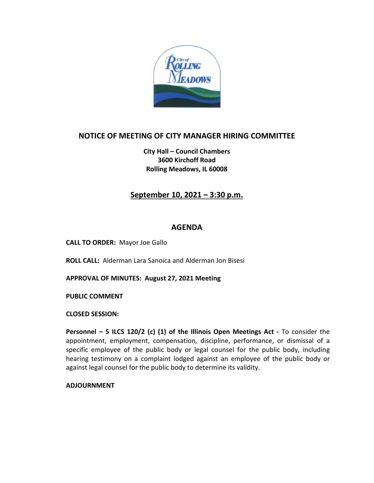

### **NOTICE OF MEETING OF CITY MANAGER HIRING COMMITTEE**

**City Hall – Council Chambers 3600 Kirchoff Road Rolling Meadows, IL 60008**

### **September 10, 2021 – 3:30 p.m.**

#### **AGENDA**

**CALL TO ORDER:** Mayor Joe Gallo

**ROLL CALL:** Alderman Lara Sanoica and Alderman Jon Bisesi

**APPROVAL OF MINUTES: August 27, 2021 Meeting**

**PUBLIC COMMENT** 

**CLOSED SESSION:**

**Personnel – 5 ILCS 120/2 (c) (1) of the Illinois Open Meetings Act -** To consider the appointment, employment, compensation, discipline, performance, or dismissal of a specific employee of the public body or legal counsel for the public body, including hearing testimony on a complaint lodged against an employee of the public body or against legal counsel for the public body to determine its validity.

**ADJOURNMENT**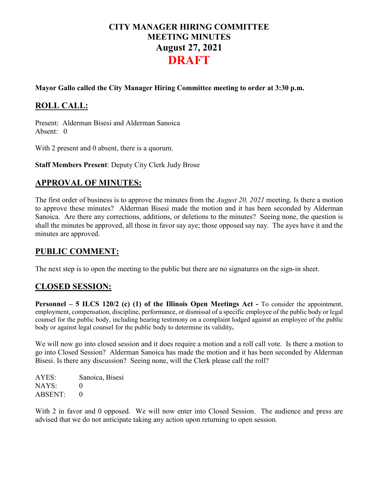# **CITY MANAGER HIRING COMMITTEE MEETING MINUTES August 27, 2021 DRAFT**

#### **Mayor Gallo called the City Manager Hiring Committee meeting to order at 3:30 p.m.**

# **ROLL CALL:**

Present: Alderman Bisesi and Alderman Sanoica Absent: 0

With 2 present and 0 absent, there is a quorum.

**Staff Members Present**: Deputy City Clerk Judy Brose

### **APPROVAL OF MINUTES:**

The first order of business is to approve the minutes from the *August 20, 2021* meeting. Is there a motion to approve these minutes? Alderman Bisesi made the motion and it has been seconded by Alderman Sanoica. Are there any corrections, additions, or deletions to the minutes? Seeing none, the question is shall the minutes be approved, all those in favor say aye; those opposed say nay. The ayes have it and the minutes are approved.

### **PUBLIC COMMENT:**

The next step is to open the meeting to the public but there are no signatures on the sign-in sheet.

# **CLOSED SESSION:**

**Personnel – 5 ILCS 120/2 (c) (1) of the Illinois Open Meetings Act -** To consider the appointment, employment, compensation, discipline, performance, or dismissal of a specific employee of the public body or legal counsel for the public body, including hearing testimony on a complaint lodged against an employee of the public body or against legal counsel for the public body to determine its validity**.**

We will now go into closed session and it does require a motion and a roll call vote. Is there a motion to go into Closed Session? Alderman Sanoica has made the motion and it has been seconded by Alderman Bisesi. Is there any discussion? Seeing none, will the Clerk please call the roll?

AYES: Sanoica, Bisesi NAYS: 0  $ABSENT: 0$ 

With 2 in favor and 0 opposed. We will now enter into Closed Session. The audience and press are advised that we do not anticipate taking any action upon returning to open session.